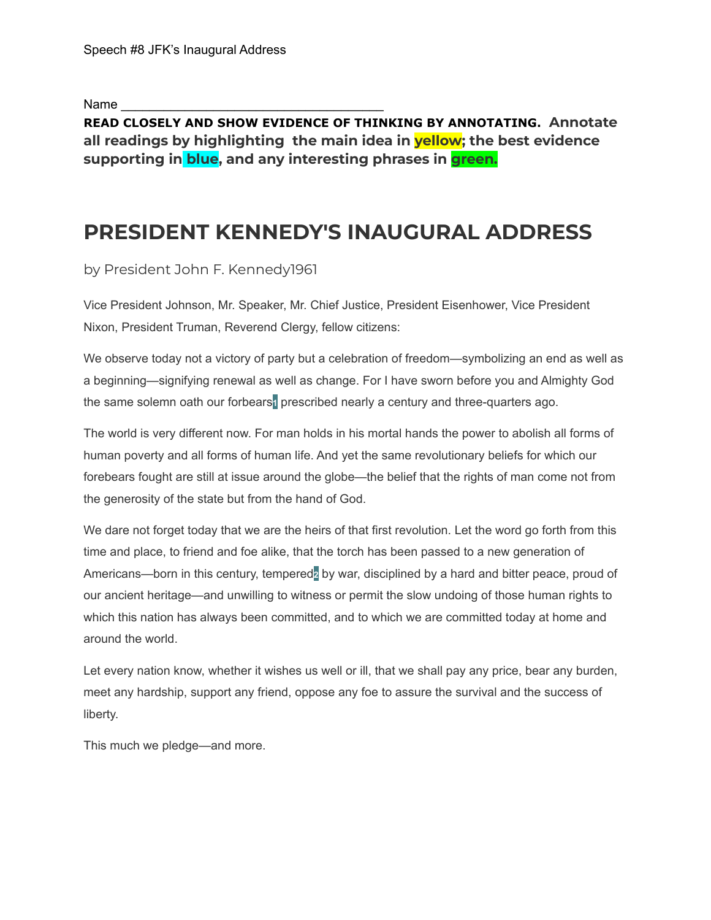Name

**READ CLOSELY AND SHOW EVIDENCE OF THINKING BY ANNOTATING. Annotate all readings by highlighting the main idea in yellow; the best evidence supporting in blue, and any interesting phrases in green.**

# **PRESIDENT KENNEDY'S INAUGURAL ADDRESS**

by President John F. Kennedy1961

Vice President Johnson, Mr. Speaker, Mr. Chief Justice, President Eisenhower, Vice President Nixon, President Truman, Reverend Clergy, fellow citizens:

We observe today not a victory of party but a celebration of freedom—symbolizing an end as well as a beginning—signifying renewal as well as change. For I have sworn before you and Almighty God the same solemn oath our forbears**1** prescribed nearly a century and three-quarters ago.

The world is very different now. For man holds in his mortal hands the power to abolish all forms of human poverty and all forms of human life. And yet the same revolutionary beliefs for which our forebears fought are still at issue around the globe—the belief that the rights of man come not from the generosity of the state but from the hand of God.

We dare not forget today that we are the heirs of that first revolution. Let the word go forth from this time and place, to friend and foe alike, that the torch has been passed to a new generation of Americans—born in this century, tempered**2** by war, disciplined by a hard and bitter peace, proud of our ancient heritage—and unwilling to witness or permit the slow undoing of those human rights to which this nation has always been committed, and to which we are committed today at home and around the world.

Let every nation know, whether it wishes us well or ill, that we shall pay any price, bear any burden, meet any hardship, support any friend, oppose any foe to assure the survival and the success of liberty.

This much we pledge—and more.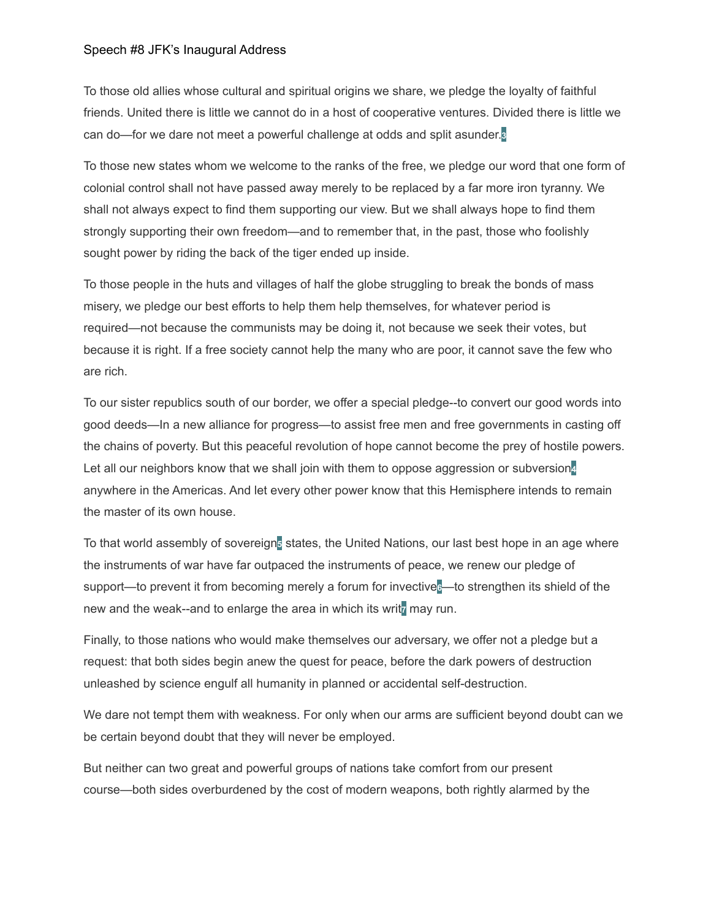#### Speech #8 JFK's Inaugural Address

To those old allies whose cultural and spiritual origins we share, we pledge the loyalty of faithful friends. United there is little we cannot do in a host of cooperative ventures. Divided there is little we can do—for we dare not meet a powerful challenge at odds and split asunder.**3**

To those new states whom we welcome to the ranks of the free, we pledge our word that one form of colonial control shall not have passed away merely to be replaced by a far more iron tyranny. We shall not always expect to find them supporting our view. But we shall always hope to find them strongly supporting their own freedom—and to remember that, in the past, those who foolishly sought power by riding the back of the tiger ended up inside.

To those people in the huts and villages of half the globe struggling to break the bonds of mass misery, we pledge our best efforts to help them help themselves, for whatever period is required—not because the communists may be doing it, not because we seek their votes, but because it is right. If a free society cannot help the many who are poor, it cannot save the few who are rich.

To our sister republics south of our border, we offer a special pledge--to convert our good words into good deeds—In a new alliance for progress—to assist free men and free governments in casting off the chains of poverty. But this peaceful revolution of hope cannot become the prey of hostile powers. Let all our neighbors know that we shall join with them to oppose aggression or subversion**4** anywhere in the Americas. And let every other power know that this Hemisphere intends to remain the master of its own house.

To that world assembly of sovereign**5** states, the United Nations, our last best hope in an age where the instruments of war have far outpaced the instruments of peace, we renew our pledge of support—to prevent it from becoming merely a forum for invective**6**—to strengthen its shield of the new and the weak--and to enlarge the area in which its writ<sub>z</sub> may run.

Finally, to those nations who would make themselves our adversary, we offer not a pledge but a request: that both sides begin anew the quest for peace, before the dark powers of destruction unleashed by science engulf all humanity in planned or accidental self-destruction.

We dare not tempt them with weakness. For only when our arms are sufficient beyond doubt can we be certain beyond doubt that they will never be employed.

But neither can two great and powerful groups of nations take comfort from our present course—both sides overburdened by the cost of modern weapons, both rightly alarmed by the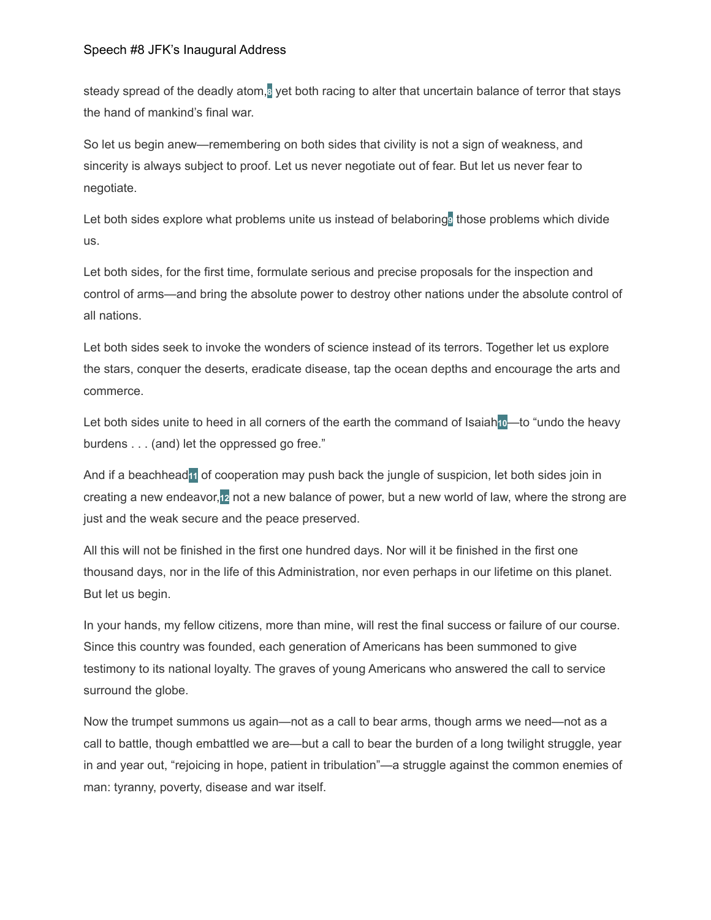#### Speech #8 JFK's Inaugural Address

steady spread of the deadly atom,**8** yet both racing to alter that uncertain balance of terror that stays the hand of mankind's final war.

So let us begin anew—remembering on both sides that civility is not a sign of weakness, and sincerity is always subject to proof. Let us never negotiate out of fear. But let us never fear to negotiate.

Let both sides explore what problems unite us instead of belaboring<sup>9</sup> those problems which divide us.

Let both sides, for the first time, formulate serious and precise proposals for the inspection and control of arms—and bring the absolute power to destroy other nations under the absolute control of all nations.

Let both sides seek to invoke the wonders of science instead of its terrors. Together let us explore the stars, conquer the deserts, eradicate disease, tap the ocean depths and encourage the arts and commerce.

Let both sides unite to heed in all corners of the earth the command of Isaiah**10**—to "undo the heavy burdens . . . (and) let the oppressed go free."

And if a beachhead**11** of cooperation may push back the jungle of suspicion, let both sides join in creating a new endeavor,**12** not a new balance of power, but a new world of law, where the strong are just and the weak secure and the peace preserved.

All this will not be finished in the first one hundred days. Nor will it be finished in the first one thousand days, nor in the life of this Administration, nor even perhaps in our lifetime on this planet. But let us begin.

In your hands, my fellow citizens, more than mine, will rest the final success or failure of our course. Since this country was founded, each generation of Americans has been summoned to give testimony to its national loyalty. The graves of young Americans who answered the call to service surround the globe.

Now the trumpet summons us again—not as a call to bear arms, though arms we need—not as a call to battle, though embattled we are—but a call to bear the burden of a long twilight struggle, year in and year out, "rejoicing in hope, patient in tribulation"—a struggle against the common enemies of man: tyranny, poverty, disease and war itself.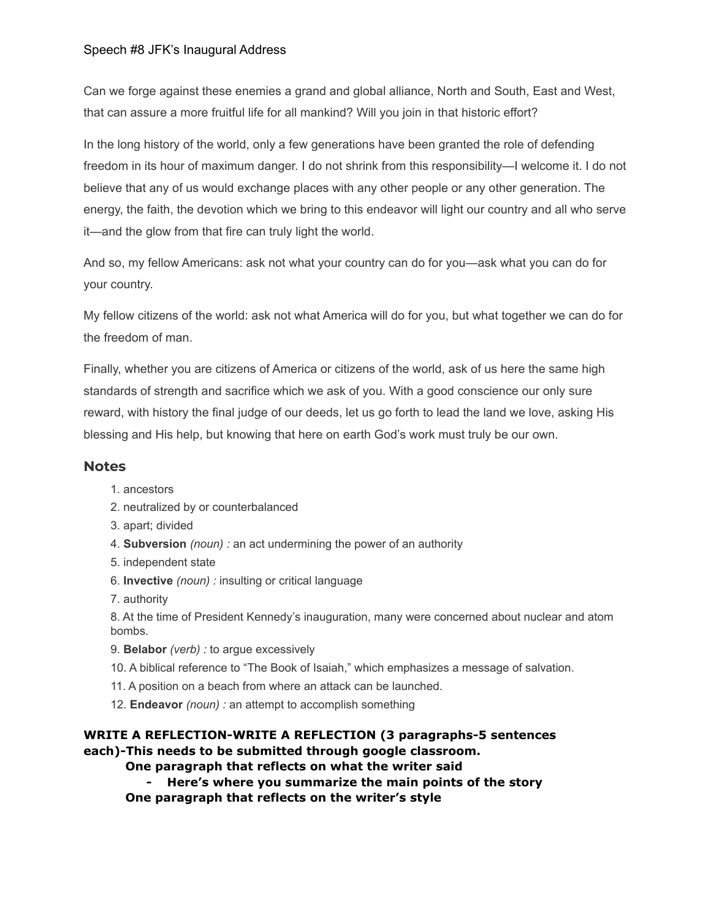## Speech #8 JFK's Inaugural Address

Can we forge against these enemies a grand and global alliance, North and South, East and West, that can assure a more fruitful life for all mankind? Will you join in that historic effort?

In the long history of the world, only a few generations have been granted the role of defending freedom in its hour of maximum danger. I do not shrink from this responsibility—I welcome it. I do not believe that any of us would exchange places with any other people or any other generation. The energy, the faith, the devotion which we bring to this endeavor will light our country and all who serve it—and the glow from that fire can truly light the world.

And so, my fellow Americans: ask not what your country can do for you—ask what you can do for your country.

My fellow citizens of the world: ask not what America will do for you, but what together we can do for the freedom of man.

Finally, whether you are citizens of America or citizens of the world, ask of us here the same high standards of strength and sacrifice which we ask of you. With a good conscience our only sure reward, with history the final judge of our deeds, let us go forth to lead the land we love, asking His blessing and His help, but knowing that here on earth God's work must truly be our own.

## **Notes**

- 1. ancestors
- 2. neutralized by or counterbalanced
- 3. apart; divided
- 4. **Subversion** *(noun) :* an act undermining the power of an authority
- 5. independent state
- 6. **Invective** *(noun) :* insulting or critical language
- 7. authority

8. At the time of President Kennedy's inauguration, many were concerned about nuclear and atom bombs.

- 9. **Belabor** *(verb) :* to argue excessively
- 10. A biblical reference to "The Book of Isaiah," which emphasizes a message of salvation.
- 11. A position on a beach from where an attack can be launched.
- 12. **Endeavor** *(noun) :* an attempt to accomplish something

# **WRITE A REFLECTION-WRITE A REFLECTION (3 paragraphs-5 sentences each)-This needs to be submitted through google classroom.**

**One paragraph that reflects on what the writer said**

**- Here's where you summarize the main points of the story**

**One paragraph that reflects on the writer's style**